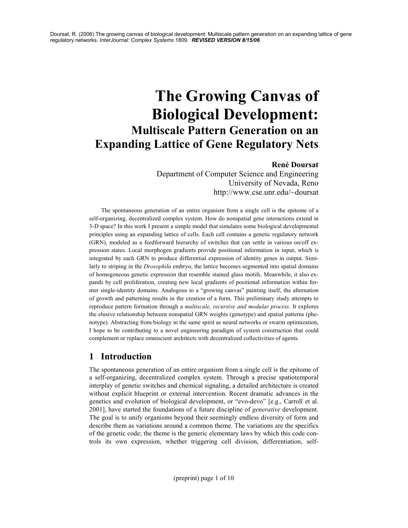# The Growing Canvas of Biological Development: Multiscale Pattern Generation on an Expanding Lattice of Gene Regulatory Nets

#### René Doursat

Department of Computer Science and Engineering University of Nevada, Reno http://www.cse.unr.edu/~doursat

The spontaneous generation of an entire organism from a single cell is the epitome of a self-organizing, decentralized complex system. How do nonspatial gene interactions extend in 3-D space? In this work I present a simple model that simulates some biological developmental principles using an expanding lattice of cells. Each cell contains a genetic regulatory network (GRN), modeled as a feedforward hierarchy of switches that can settle in various on/off expression states. Local morphogen gradients provide positional information in input, which is integrated by each GRN to produce differential expression of identity genes in output. Similarly to striping in the Drosophila embryo, the lattice becomes segmented into spatial domains of homogeneous genetic expression that resemble stained glass motifs. Meanwhile, it also expands by cell proliferation, creating new local gradients of positional information within former single-identity domains. Analogous to a "growing canvas" painting itself, the alternation of growth and patterning results in the creation of a form. This preliminary study attempts to reproduce pattern formation through a multiscale, recursive and modular process. It explores the elusive relationship between nonspatial GRN weights (genotype) and spatial patterns (phenotype). Abstracting from biology in the same spirit as neural networks or swarm optimization, I hope to be contributing to a novel engineering paradigm of system construction that could complement or replace omniscient architects with decentralized collectivities of agents.

# 1 Introduction

The spontaneous generation of an entire organism from a single cell is the epitome of a self-organizing, decentralized complex system. Through a precise spatiotemporal interplay of genetic switches and chemical signaling, a detailed architecture is created without explicit blueprint or external intervention. Recent dramatic advances in the genetics and evolution of biological development, or "evo-devo" [e.g., Carroll et al. 2001], have started the foundations of a future discipline of generative development. The goal is to unify organisms beyond their seemingly endless diversity of form and describe them as variations around a common theme. The variations are the specifics of the genetic code; the theme is the generic elementary laws by which this code controls its own expression, whether triggering cell division, differentiation, self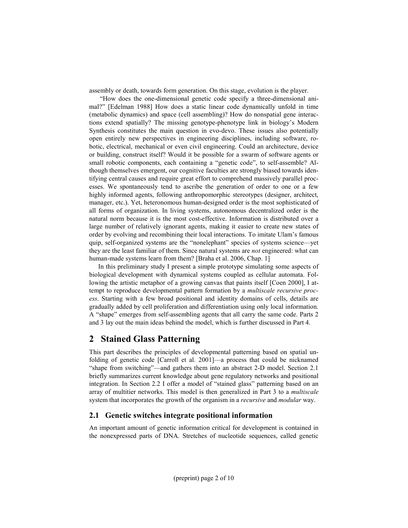assembly or death, towards form generation. On this stage, evolution is the player.

 "How does the one-dimensional genetic code specify a three-dimensional animal?" [Edelman 1988] How does a static linear code dynamically unfold in time (metabolic dynamics) and space (cell assembling)? How do nonspatial gene interactions extend spatially? The missing genotype-phenotype link in biology's Modern Synthesis constitutes the main question in evo-devo. These issues also potentially open entirely new perspectives in engineering disciplines, including software, robotic, electrical, mechanical or even civil engineering. Could an architecture, device or building, construct itself? Would it be possible for a swarm of software agents or small robotic components, each containing a "genetic code", to self-assemble? Although themselves emergent, our cognitive faculties are strongly biased towards identifying central causes and require great effort to comprehend massively parallel processes. We spontaneously tend to ascribe the generation of order to one or a few highly informed agents, following anthropomorphic stereotypes (designer, architect, manager, etc.). Yet, heteronomous human-designed order is the most sophisticated of all forms of organization. In living systems, autonomous decentralized order is the natural norm because it is the most cost-effective. Information is distributed over a large number of relatively ignorant agents, making it easier to create new states of order by evolving and recombining their local interactions. To imitate Ulam's famous quip, self-organized systems are the "nonelephant" species of systems science—yet they are the least familiar of them. Since natural systems are *not* engineered: what can human-made systems learn from them? [Braha et al. 2006, Chap. 1]

In this preliminary study I present a simple prototype simulating some aspects of biological development with dynamical systems coupled as cellular automata. Following the artistic metaphor of a growing canvas that paints itself [Coen 2000], I attempt to reproduce developmental pattern formation by a multiscale recursive process. Starting with a few broad positional and identity domains of cells, details are gradually added by cell proliferation and differentiation using only local information. A "shape" emerges from self-assembling agents that all carry the same code. Parts 2 and 3 lay out the main ideas behind the model, which is further discussed in Part 4.

## 2 Stained Glass Patterning

This part describes the principles of developmental patterning based on spatial unfolding of genetic code [Carroll et al. 2001]—a process that could be nicknamed "shape from switching"—and gathers them into an abstract 2-D model. Section 2.1 briefly summarizes current knowledge about gene regulatory networks and positional integration. In Section 2.2 I offer a model of "stained glass" patterning based on an array of multitier networks. This model is then generalized in Part 3 to a multiscale system that incorporates the growth of the organism in a recursive and modular way.

#### 2.1 Genetic switches integrate positional information

An important amount of genetic information critical for development is contained in the nonexpressed parts of DNA. Stretches of nucleotide sequences, called genetic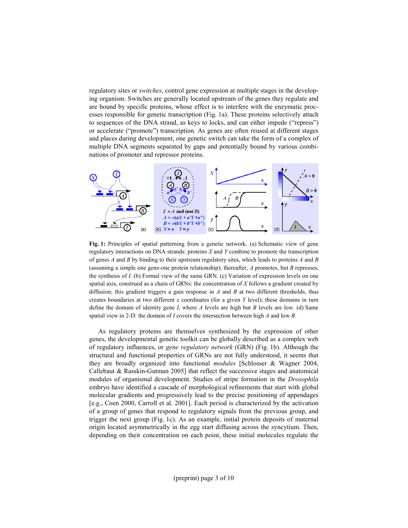regulatory sites or switches, control gene expression at multiple stages in the developing organism. Switches are generally located upstream of the genes they regulate and are bound by specific proteins, whose effect is to interfere with the enzymatic processes responsible for genetic transcription (Fig. 1a). These proteins selectively attach to sequences of the DNA strand, as keys to locks, and can either impede ("repress") or accelerate ("promote") transcription. As genes are often reused at different stages and places during development, one genetic switch can take the form of a complex of multiple DNA segments separated by gaps and potentially bound by various combinations of promoter and repressor proteins.



Fig. 1: Principles of spatial patterning from a genetic network. (a) Schematic view of gene regulatory interactions on DNA strands: proteins  $X$  and  $Y$  combine to promote the transcription of genes  $A$  and  $B$  by binding to their upstream regulatory sites, which leads to proteins  $A$  and  $B$ (assuming a simple one gene-one protein relationship); thereafter,  $\Lambda$  promotes, but  $\tilde{B}$  represses, the synthesis of I. (b) Formal view of the same GRN. (c) Variation of expression levels on one spatial axis, construed as a chain of GRNs: the concentration of  $X$  follows a gradient created by diffusion; this gradient triggers a gain response in  $A$  and  $B$  at two different thresholds, thus creates boundaries at two different x coordinates (for a given  $Y$  level); these domains in turn define the domain of identity gene I, where A levels are high but B levels are low. (d) Same spatial view in 2-D: the domain of I covers the intersection between high A and low B.

As regulatory proteins are themselves synthesized by the expression of other genes, the developmental genetic toolkit can be globally described as a complex web of regulatory influences, or gene regulatory network (GRN) (Fig. 1b). Although the structural and functional properties of GRNs are not fully understood, it seems that they are broadly organized into functional modules [Schlosser & Wagner 2004, Callebaut & Rasskin-Gutman 2005] that reflect the successive stages and anatomical modules of organismal development. Studies of stripe formation in the Drosophila embryo have identified a cascade of morphological refinements that start with global molecular gradients and progressively lead to the precise positioning of appendages [e.g., Coen 2000, Carroll et al. 2001]. Each period is characterized by the activation of a group of genes that respond to regulatory signals from the previous group, and trigger the next group (Fig. 1c). As an example, initial protein deposits of maternal origin located asymmetrically in the egg start diffusing across the syncytium. Then, depending on their concentration on each point, these initial molecules regulate the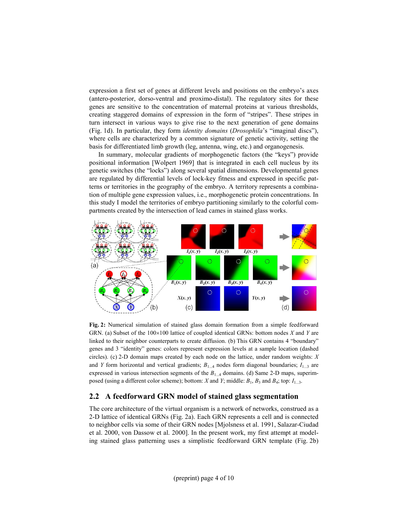expression a first set of genes at different levels and positions on the embryo's axes (antero-posterior, dorso-ventral and proximo-distal). The regulatory sites for these genes are sensitive to the concentration of maternal proteins at various thresholds, creating staggered domains of expression in the form of "stripes". These stripes in turn intersect in various ways to give rise to the next generation of gene domains (Fig. 1d). In particular, they form identity domains (Drosophila's "imaginal discs"), where cells are characterized by a common signature of genetic activity, setting the basis for differentiated limb growth (leg, antenna, wing, etc.) and organogenesis.

In summary, molecular gradients of morphogenetic factors (the "keys") provide positional information [Wolpert 1969] that is integrated in each cell nucleus by its genetic switches (the "locks") along several spatial dimensions. Developmental genes are regulated by differential levels of lock-key fitness and expressed in specific patterns or territories in the geography of the embryo. A territory represents a combination of multiple gene expression values, i.e., morphogenetic protein concentrations. In this study I model the territories of embryo partitioning similarly to the colorful compartments created by the intersection of lead cames in stained glass works.



Fig. 2: Numerical simulation of stained glass domain formation from a simple feedforward GRN. (a) Subset of the  $100\times100$  lattice of coupled identical GRNs: bottom nodes X and Y are linked to their neighbor counterparts to create diffusion. (b) This GRN contains 4 "boundary" genes and 3 "identity" genes: colors represent expression levels at a sample location (dashed circles). (c) 2-D domain maps created by each node on the lattice, under random weights:  $X$ and Y form horizontal and vertical gradients;  $B_{1...4}$  nodes form diagonal boundaries;  $I_{1...3}$  are expressed in various intersection segments of the  $B_{1...4}$  domains. (d) Same 2-D maps, superimposed (using a different color scheme); bottom: X and Y; middle:  $B_1$ ,  $B_3$  and  $B_4$ ; top:  $I_{1...3}$ .

#### 2.2 A feedforward GRN model of stained glass segmentation

The core architecture of the virtual organism is a network of networks, construed as a 2-D lattice of identical GRNs (Fig. 2a). Each GRN represents a cell and is connected to neighbor cells via some of their GRN nodes [Mjolsness et al. 1991, Salazar-Ciudad et al. 2000, von Dassow et al. 2000]. In the present work, my first attempt at modeling stained glass patterning uses a simplistic feedforward GRN template (Fig. 2b)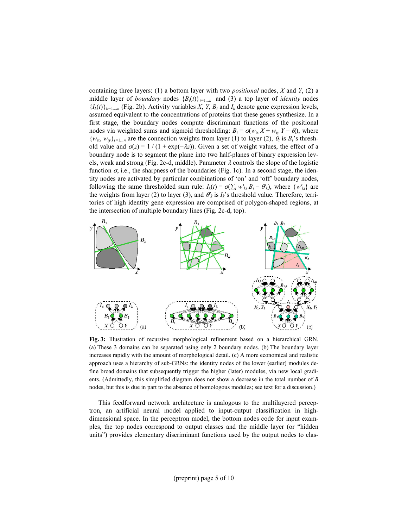containing three layers: (1) a bottom layer with two *positional* nodes,  $X$  and  $Y$ , (2) a middle layer of *boundary* nodes  ${B_i(t)}_{i=1...n}$  and (3) a top layer of *identity* nodes  $\{I_k(t)\}_{k=1...m}$  (Fig. 2b). Activity variables X, Y, B<sub>i</sub> and I<sub>k</sub> denote gene expression levels, assumed equivalent to the concentrations of proteins that these genes synthesize. In a first stage, the boundary nodes compute discriminant functions of the positional nodes via weighted sums and sigmoid thresholding:  $B_i = \sigma(w_{ix} X + w_{iy} Y - \theta_i)$ , where  $\{w_{ix}, w_{iy}\}_{i=1...n}$  are the connection weights from layer (1) to layer (2),  $\theta_i$  is  $B_i$ 's threshold value and  $\sigma(z) = 1/(1 + \exp(-\lambda z))$ . Given a set of weight values, the effect of a boundary node is to segment the plane into two half-planes of binary expression levels, weak and strong (Fig. 2c-d, middle). Parameter  $\lambda$  controls the slope of the logistic function  $\sigma$ , i.e., the sharpness of the boundaries (Fig. 1c). In a second stage, the identity nodes are activated by particular combinations of 'on' and 'off' boundary nodes, following the same thresholded sum rule:  $I_k(t) = \sigma(\sum_i w'_{ki} B_i - \theta'_{k})$ , where  $\{w'_{ki}\}$  are the weights from layer (2) to layer (3), and  $\theta'_{k}$  is  $I_{k}$ 's threshold value. Therefore, territories of high identity gene expression are comprised of polygon-shaped regions, at the intersection of multiple boundary lines (Fig. 2c-d, top).



Fig. 3: Illustration of recursive morphological refinement based on a hierarchical GRN. (a) These 3 domains can be separated using only 2 boundary nodes. (b) The boundary layer increases rapidly with the amount of morphological detail. (c) A more economical and realistic approach uses a hierarchy of sub-GRNs: the identity nodes of the lower (earlier) modules define broad domains that subsequently trigger the higher (later) modules, via new local gradients. (Admittedly, this simplified diagram does not show a decrease in the total number of B nodes, but this is due in part to the absence of homologous modules; see text for a discussion.)

This feedforward network architecture is analogous to the multilayered perceptron, an artificial neural model applied to input-output classification in highdimensional space. In the perceptron model, the bottom nodes code for input examples, the top nodes correspond to output classes and the middle layer (or "hidden units") provides elementary discriminant functions used by the output nodes to clas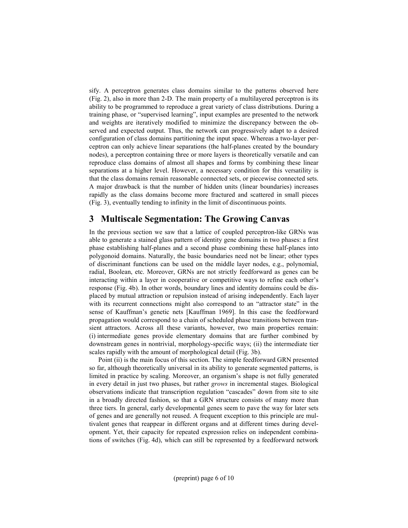sify. A perceptron generates class domains similar to the patterns observed here (Fig. 2), also in more than 2-D. The main property of a multilayered perceptron is its ability to be programmed to reproduce a great variety of class distributions. During a training phase, or "supervised learning", input examples are presented to the network and weights are iteratively modified to minimize the discrepancy between the observed and expected output. Thus, the network can progressively adapt to a desired configuration of class domains partitioning the input space. Whereas a two-layer perceptron can only achieve linear separations (the half-planes created by the boundary nodes), a perceptron containing three or more layers is theoretically versatile and can reproduce class domains of almost all shapes and forms by combining these linear separations at a higher level. However, a necessary condition for this versatility is that the class domains remain reasonable connected sets, or piecewise connected sets. A major drawback is that the number of hidden units (linear boundaries) increases rapidly as the class domains become more fractured and scattered in small pieces (Fig. 3), eventually tending to infinity in the limit of discontinuous points.

## 3 Multiscale Segmentation: The Growing Canvas

In the previous section we saw that a lattice of coupled perceptron-like GRNs was able to generate a stained glass pattern of identity gene domains in two phases: a first phase establishing half-planes and a second phase combining these half-planes into polygonoid domains. Naturally, the basic boundaries need not be linear; other types of discriminant functions can be used on the middle layer nodes, e.g., polynomial, radial, Boolean, etc. Moreover, GRNs are not strictly feedforward as genes can be interacting within a layer in cooperative or competitive ways to refine each other's response (Fig. 4b). In other words, boundary lines and identity domains could be displaced by mutual attraction or repulsion instead of arising independently. Each layer with its recurrent connections might also correspond to an "attractor state" in the sense of Kauffman's genetic nets [Kauffman 1969]. In this case the feedforward propagation would correspond to a chain of scheduled phase transitions between transient attractors. Across all these variants, however, two main properties remain: (i) intermediate genes provide elementary domains that are further combined by downstream genes in nontrivial, morphology-specific ways; (ii) the intermediate tier scales rapidly with the amount of morphological detail (Fig. 3b).

Point (ii) is the main focus of this section. The simple feedforward GRN presented so far, although theoretically universal in its ability to generate segmented patterns, is limited in practice by scaling. Moreover, an organism's shape is not fully generated in every detail in just two phases, but rather grows in incremental stages. Biological observations indicate that transcription regulation "cascades" down from site to site in a broadly directed fashion, so that a GRN structure consists of many more than three tiers. In general, early developmental genes seem to pave the way for later sets of genes and are generally not reused. A frequent exception to this principle are multivalent genes that reappear in different organs and at different times during development. Yet, their capacity for repeated expression relies on independent combinations of switches (Fig. 4d), which can still be represented by a feedforward network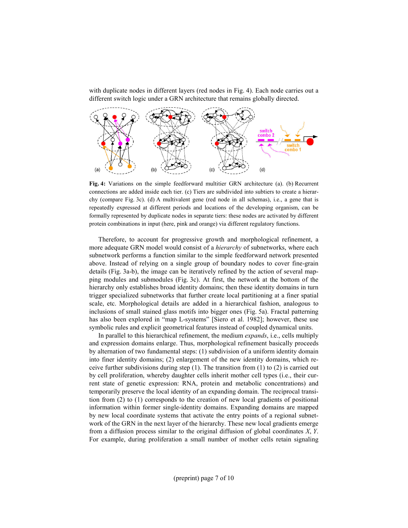with duplicate nodes in different layers (red nodes in Fig. 4). Each node carries out a different switch logic under a GRN architecture that remains globally directed.



Fig. 4: Variations on the simple feedforward multitier GRN architecture (a). (b) Recurrent connections are added inside each tier. (c) Tiers are subdivided into subtiers to create a hierarchy (compare Fig. 3c). (d) A multivalent gene (red node in all schemas), i.e., a gene that is repeatedly expressed at different periods and locations of the developing organism, can be formally represented by duplicate nodes in separate tiers: these nodes are activated by different protein combinations in input (here, pink and orange) via different regulatory functions.

Therefore, to account for progressive growth and morphological refinement, a more adequate GRN model would consist of a *hierarchy* of subnetworks, where each subnetwork performs a function similar to the simple feedforward network presented above. Instead of relying on a single group of boundary nodes to cover fine-grain details (Fig. 3a-b), the image can be iteratively refined by the action of several mapping modules and submodules (Fig. 3c). At first, the network at the bottom of the hierarchy only establishes broad identity domains; then these identity domains in turn trigger specialized subnetworks that further create local partitioning at a finer spatial scale, etc. Morphological details are added in a hierarchical fashion, analogous to inclusions of small stained glass motifs into bigger ones (Fig. 5a). Fractal patterning has also been explored in "map L-systems" [Siero et al. 1982]; however, these use symbolic rules and explicit geometrical features instead of coupled dynamical units.

In parallel to this hierarchical refinement, the medium *expands*, i.e., cells multiply and expression domains enlarge. Thus, morphological refinement basically proceeds by alternation of two fundamental steps: (1) subdivision of a uniform identity domain into finer identity domains; (2) enlargement of the new identity domains, which receive further subdivisions during step  $(1)$ . The transition from  $(1)$  to  $(2)$  is carried out by cell proliferation, whereby daughter cells inherit mother cell types (i.e., their current state of genetic expression: RNA, protein and metabolic concentrations) and temporarily preserve the local identity of an expanding domain. The reciprocal transition from (2) to (1) corresponds to the creation of new local gradients of positional information within former single-identity domains. Expanding domains are mapped by new local coordinate systems that activate the entry points of a regional subnetwork of the GRN in the next layer of the hierarchy. These new local gradients emerge from a diffusion process similar to the original diffusion of global coordinates  $X, Y$ . For example, during proliferation a small number of mother cells retain signaling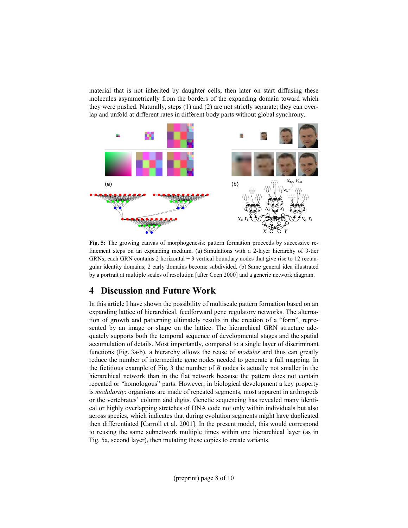material that is not inherited by daughter cells, then later on start diffusing these molecules asymmetrically from the borders of the expanding domain toward which they were pushed. Naturally, steps (1) and (2) are not strictly separate; they can overlap and unfold at different rates in different body parts without global synchrony.



Fig. 5: The growing canvas of morphogenesis: pattern formation proceeds by successive refinement steps on an expanding medium. (a) Simulations with a 2-layer hierarchy of 3-tier GRNs; each GRN contains 2 horizontal  $+3$  vertical boundary nodes that give rise to 12 rectangular identity domains; 2 early domains become subdivided. (b) Same general idea illustrated by a portrait at multiple scales of resolution [after Coen 2000] and a generic network diagram.

# 4 Discussion and Future Work

In this article I have shown the possibility of multiscale pattern formation based on an expanding lattice of hierarchical, feedforward gene regulatory networks. The alternation of growth and patterning ultimately results in the creation of a "form", represented by an image or shape on the lattice. The hierarchical GRN structure adequately supports both the temporal sequence of developmental stages and the spatial accumulation of details. Most importantly, compared to a single layer of discriminant functions (Fig. 3a-b), a hierarchy allows the reuse of modules and thus can greatly reduce the number of intermediate gene nodes needed to generate a full mapping. In the fictitious example of Fig. 3 the number of  $B$  nodes is actually not smaller in the hierarchical network than in the flat network because the pattern does not contain repeated or "homologous" parts. However, in biological development a key property is modularity: organisms are made of repeated segments, most apparent in arthropods or the vertebrates' column and digits. Genetic sequencing has revealed many identical or highly overlapping stretches of DNA code not only within individuals but also across species, which indicates that during evolution segments might have duplicated then differentiated [Carroll et al. 2001]. In the present model, this would correspond to reusing the same subnetwork multiple times within one hierarchical layer (as in Fig. 5a, second layer), then mutating these copies to create variants.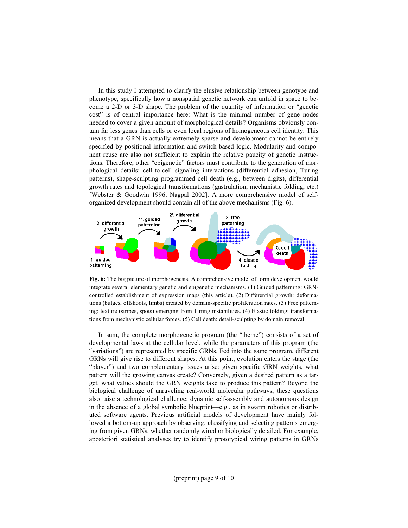In this study I attempted to clarify the elusive relationship between genotype and phenotype, specifically how a nonspatial genetic network can unfold in space to become a 2-D or 3-D shape. The problem of the quantity of information or "genetic cost" is of central importance here: What is the minimal number of gene nodes needed to cover a given amount of morphological details? Organisms obviously contain far less genes than cells or even local regions of homogeneous cell identity. This means that a GRN is actually extremely sparse and development cannot be entirely specified by positional information and switch-based logic. Modularity and component reuse are also not sufficient to explain the relative paucity of genetic instructions. Therefore, other "epigenetic" factors must contribute to the generation of morphological details: cell-to-cell signaling interactions (differential adhesion, Turing patterns), shape-sculpting programmed cell death (e.g., between digits), differential growth rates and topological transformations (gastrulation, mechanistic folding, etc.) [Webster & Goodwin 1996, Nagpal 2002]. A more comprehensive model of selforganized development should contain all of the above mechanisms (Fig. 6).



Fig. 6: The big picture of morphogenesis. A comprehensive model of form development would integrate several elementary genetic and epigenetic mechanisms. (1) Guided patterning: GRNcontrolled establishment of expression maps (this article). (2) Differential growth: deformations (bulges, offshoots, limbs) created by domain-specific proliferation rates. (3) Free patterning: texture (stripes, spots) emerging from Turing instabilities. (4) Elastic folding: transformations from mechanistic cellular forces. (5) Cell death: detail-sculpting by domain removal.

In sum, the complete morphogenetic program (the "theme") consists of a set of developmental laws at the cellular level, while the parameters of this program (the "variations") are represented by specific GRNs. Fed into the same program, different GRNs will give rise to different shapes. At this point, evolution enters the stage (the "player") and two complementary issues arise: given specific GRN weights, what pattern will the growing canvas create? Conversely, given a desired pattern as a target, what values should the GRN weights take to produce this pattern? Beyond the biological challenge of unraveling real-world molecular pathways, these questions also raise a technological challenge: dynamic self-assembly and autonomous design in the absence of a global symbolic blueprint—e.g., as in swarm robotics or distributed software agents. Previous artificial models of development have mainly followed a bottom-up approach by observing, classifying and selecting patterns emerging from given GRNs, whether randomly wired or biologically detailed. For example, aposteriori statistical analyses try to identify prototypical wiring patterns in GRNs